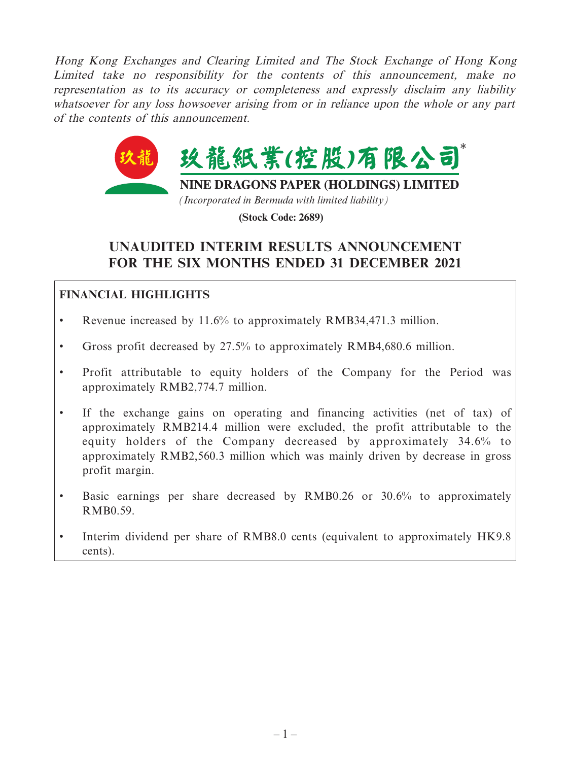Hong Kong Exchanges and Clearing Limited and The Stock Exchange of Hong Kong Limited take no responsibility for the contents of this announcement, make no representation as to its accuracy or completeness and expressly disclaim any liability whatsoever for any loss howsoever arising from or in reliance upon the whole or any part of the contents of this announcement.



**(Stock Code: 2689)**

# **UNAUDITED INTERIM RESULTS ANNOUNCEMENT FOR THE SIX MONTHS ENDED 31 DECEMBER 2021**

# **FINANCIAL HIGHLIGHTS**

- Revenue increased by 11.6% to approximately RMB34,471.3 million.
- Gross profit decreased by 27.5% to approximately RMB4,680.6 million.
- Profit attributable to equity holders of the Company for the Period was approximately RMB2,774.7 million.
- If the exchange gains on operating and financing activities (net of tax) of approximately RMB214.4 million were excluded, the profit attributable to the equity holders of the Company decreased by approximately 34.6% to approximately RMB2,560.3 million which was mainly driven by decrease in gross profit margin.
- Basic earnings per share decreased by RMB0.26 or 30.6% to approximately RMB0.59.
- Interim dividend per share of RMB8.0 cents (equivalent to approximately HK9.8) cents).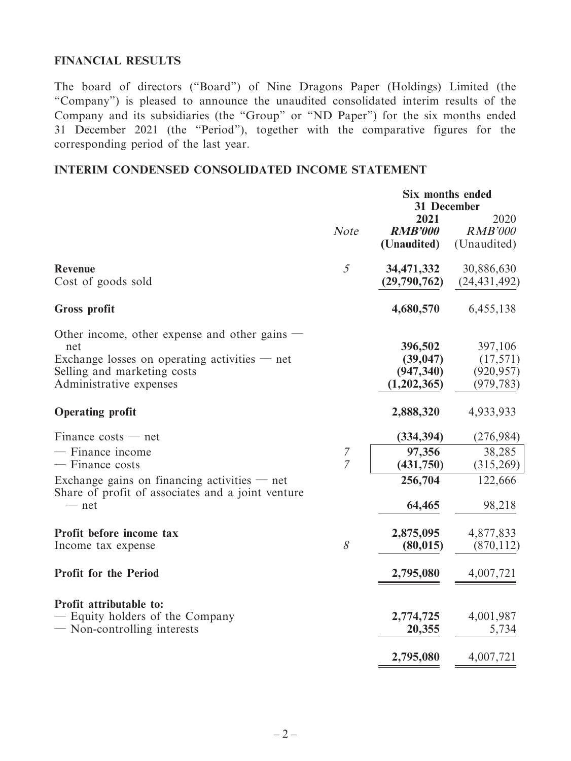### **FINANCIAL RESULTS**

The board of directors ("Board") of Nine Dragons Paper (Holdings) Limited (the "Company") is pleased to announce the unaudited consolidated interim results of the Company and its subsidiaries (the "Group" or "ND Paper") for the six months ended 31 December 2021 (the "Period"), together with the comparative figures for the corresponding period of the last year.

# **INTERIM CONDENSED CONSOLIDATED INCOME STATEMENT**

|                                                                                                                                                                 |                     |                                                   | <b>Six months ended</b><br><b>31 December</b>    |  |
|-----------------------------------------------------------------------------------------------------------------------------------------------------------------|---------------------|---------------------------------------------------|--------------------------------------------------|--|
|                                                                                                                                                                 | <b>Note</b>         | 2021<br><b>RMB'000</b><br>(Unaudited)             | 2020<br><b>RMB'000</b><br>(Unaudited)            |  |
| <b>Revenue</b><br>Cost of goods sold                                                                                                                            | $\mathfrak{H}$      | 34, 471, 332<br>(29,790,762)                      | 30,886,630<br>(24, 431, 492)                     |  |
| <b>Gross profit</b>                                                                                                                                             |                     | 4,680,570                                         | 6,455,138                                        |  |
| Other income, other expense and other gains<br>net<br>Exchange losses on operating activities $-$ net<br>Selling and marketing costs<br>Administrative expenses |                     | 396,502<br>(39, 047)<br>(947, 340)<br>(1,202,365) | 397,106<br>(17, 571)<br>(920, 957)<br>(979, 783) |  |
| <b>Operating profit</b>                                                                                                                                         |                     | 2,888,320                                         | 4,933,933                                        |  |
| Finance $costs$ — net<br>- Finance income<br>- Finance costs                                                                                                    | 7<br>$\overline{7}$ | (334, 394)<br>97,356<br>(431,750)                 | (276,984)<br>38,285<br>(315,269)                 |  |
| Exchange gains on financing activities $-$ net<br>Share of profit of associates and a joint venture<br>$-$ net                                                  |                     | 256,704<br>64,465                                 | 122,666<br>98,218                                |  |
| Profit before income tax<br>Income tax expense                                                                                                                  | 8                   | 2,875,095<br>(80, 015)                            | 4,877,833<br>(870, 112)                          |  |
| <b>Profit for the Period</b>                                                                                                                                    |                     | 2,795,080                                         | 4,007,721                                        |  |
| Profit attributable to:<br>- Equity holders of the Company<br>— Non-controlling interests                                                                       |                     | 2,774,725<br>20,355                               | 4,001,987<br>5,734                               |  |
|                                                                                                                                                                 |                     | 2,795,080                                         | 4,007,721                                        |  |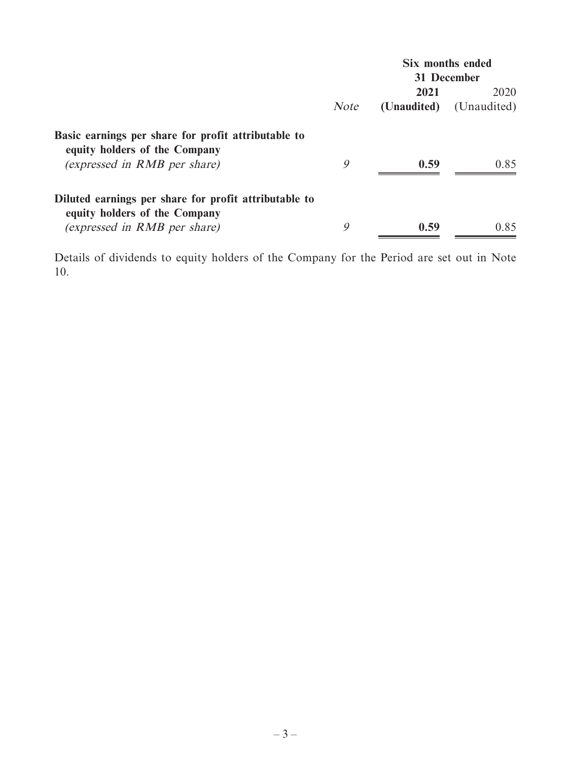|                                                                                      |             |             | Six months ended |
|--------------------------------------------------------------------------------------|-------------|-------------|------------------|
|                                                                                      | 31 December |             |                  |
|                                                                                      |             | 2021        | 2020             |
|                                                                                      | <b>Note</b> | (Unaudited) | (Unaudited)      |
| Basic earnings per share for profit attributable to<br>equity holders of the Company |             |             |                  |
| (expressed in RMB per share)                                                         | 9           | 0.59        | 0.85             |
| Diluted earnings per share for profit attributable to                                |             |             |                  |
| equity holders of the Company                                                        |             |             |                  |
| (expressed in RMB per share)                                                         | 9           | 0.59        | 0.85             |

Details of dividends to equity holders of the Company for the Period are set out in Note 10.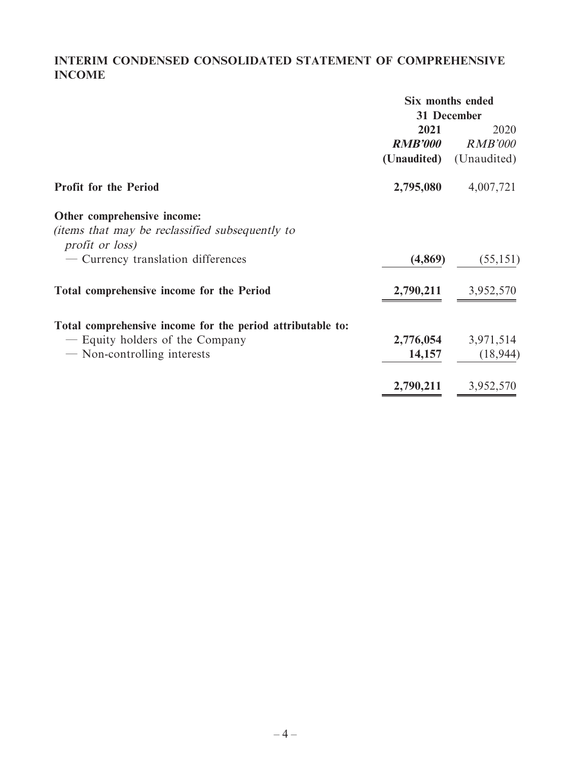# **INTERIM CONDENSED CONSOLIDATED STATEMENT OF COMPREHENSIVE INCOME**

|                                                                    | Six months ended |                |
|--------------------------------------------------------------------|------------------|----------------|
|                                                                    | 31 December      |                |
|                                                                    | 2021             | 2020           |
|                                                                    | <b>RMB'000</b>   | <i>RMB'000</i> |
|                                                                    | (Unaudited)      | (Unaudited)    |
| <b>Profit for the Period</b>                                       | 2,795,080        | 4,007,721      |
| Other comprehensive income:                                        |                  |                |
| (items that may be reclassified subsequently to<br>profit or loss) |                  |                |
| - Currency translation differences                                 | (4,869)          | (55, 151)      |
| <b>Total comprehensive income for the Period</b>                   | 2,790,211        | 3,952,570      |
| Total comprehensive income for the period attributable to:         |                  |                |
| - Equity holders of the Company                                    | 2,776,054        | 3,971,514      |
| - Non-controlling interests                                        | 14,157           | (18, 944)      |
|                                                                    | 2,790,211        | 3,952,570      |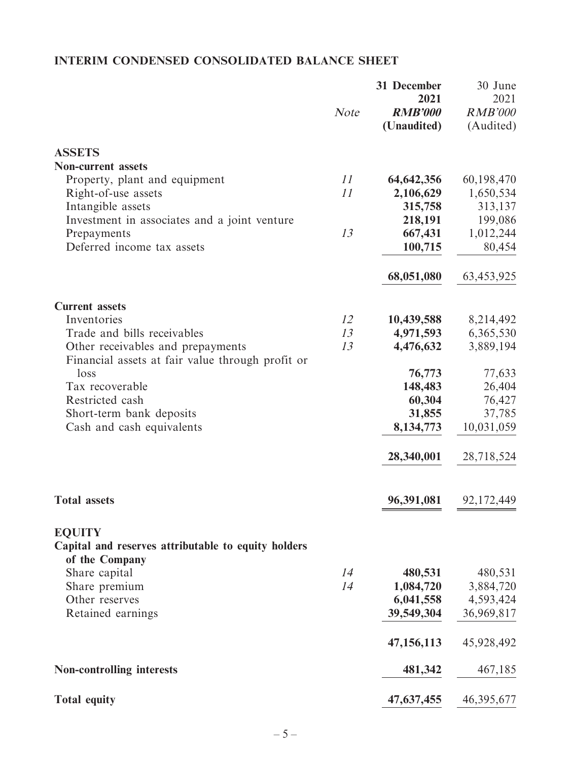# **INTERIM CONDENSED CONSOLIDATED BALANCE SHEET**

|                                                                                        | Note | 31 December<br>2021<br><b>RMB'000</b><br>(Unaudited) | 30 June<br>2021<br><b>RMB'000</b><br>(Audited) |
|----------------------------------------------------------------------------------------|------|------------------------------------------------------|------------------------------------------------|
| <b>ASSETS</b>                                                                          |      |                                                      |                                                |
| <b>Non-current assets</b>                                                              |      |                                                      |                                                |
| Property, plant and equipment                                                          | 11   | 64, 642, 356                                         | 60,198,470                                     |
| Right-of-use assets                                                                    | 11   | 2,106,629                                            | 1,650,534                                      |
| Intangible assets                                                                      |      | 315,758                                              | 313,137                                        |
| Investment in associates and a joint venture                                           |      | 218,191                                              | 199,086                                        |
| Prepayments                                                                            | 13   | 667,431                                              | 1,012,244                                      |
| Deferred income tax assets                                                             |      | 100,715                                              | 80,454                                         |
|                                                                                        |      | 68,051,080                                           | 63,453,925                                     |
| <b>Current assets</b>                                                                  |      |                                                      |                                                |
| Inventories                                                                            | 12   | 10,439,588                                           | 8,214,492                                      |
| Trade and bills receivables                                                            | 13   | 4,971,593                                            | 6,365,530                                      |
| Other receivables and prepayments                                                      | 13   | 4,476,632                                            | 3,889,194                                      |
| Financial assets at fair value through profit or                                       |      |                                                      |                                                |
| loss                                                                                   |      | 76,773                                               | 77,633                                         |
| Tax recoverable                                                                        |      | 148,483                                              | 26,404                                         |
| Restricted cash                                                                        |      | 60,304                                               | 76,427                                         |
| Short-term bank deposits                                                               |      | 31,855                                               | 37,785                                         |
| Cash and cash equivalents                                                              |      | 8,134,773                                            | 10,031,059                                     |
|                                                                                        |      | 28,340,001                                           | 28,718,524                                     |
| <b>Total assets</b>                                                                    |      | 96,391,081                                           | 92,172,449                                     |
|                                                                                        |      |                                                      |                                                |
| <b>EQUITY</b><br>Capital and reserves attributable to equity holders<br>of the Company |      |                                                      |                                                |
| Share capital                                                                          | 14   | 480,531                                              | 480,531                                        |
| Share premium                                                                          | 14   | 1,084,720                                            | 3,884,720                                      |
| Other reserves                                                                         |      | 6,041,558                                            | 4,593,424                                      |
| Retained earnings                                                                      |      | 39,549,304                                           | 36,969,817                                     |
|                                                                                        |      | 47,156,113                                           | 45,928,492                                     |
| <b>Non-controlling interests</b>                                                       |      | 481,342                                              | 467,185                                        |
| <b>Total equity</b>                                                                    |      | 47,637,455                                           | 46,395,677                                     |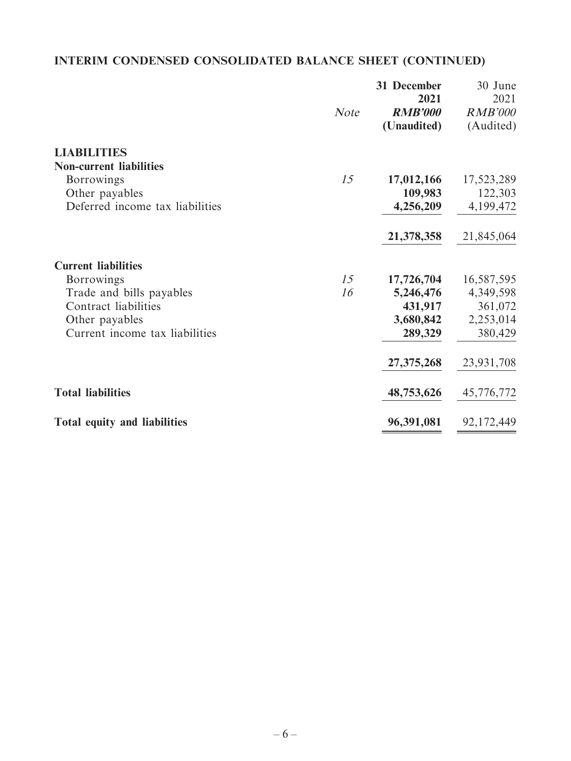# **INTERIM CONDENSED CONSOLIDATED BALANCE SHEET (CONTINUED)**

|                                 | <b>Note</b> | 31 December<br>2021<br><b>RMB'000</b><br>(Unaudited) | 30 June<br>2021<br><b>RMB'000</b><br>(Audited) |
|---------------------------------|-------------|------------------------------------------------------|------------------------------------------------|
| <b>LIABILITIES</b>              |             |                                                      |                                                |
| <b>Non-current liabilities</b>  |             |                                                      |                                                |
| <b>Borrowings</b>               | 15          | 17,012,166                                           | 17,523,289                                     |
| Other payables                  |             | 109,983                                              | 122,303                                        |
| Deferred income tax liabilities |             | 4,256,209                                            | 4,199,472                                      |
|                                 |             | 21,378,358                                           | 21,845,064                                     |
| <b>Current liabilities</b>      |             |                                                      |                                                |
| <b>Borrowings</b>               | 15          | 17,726,704                                           | 16,587,595                                     |
| Trade and bills payables        | 16          | 5,246,476                                            | 4,349,598                                      |
| Contract liabilities            |             | 431,917                                              | 361,072                                        |
| Other payables                  |             | 3,680,842                                            | 2,253,014                                      |
| Current income tax liabilities  |             | 289,329                                              | 380,429                                        |
|                                 |             | 27, 375, 268                                         | 23,931,708                                     |
| <b>Total liabilities</b>        |             | 48,753,626                                           | 45,776,772                                     |
| Total equity and liabilities    |             | 96,391,081                                           | 92,172,449                                     |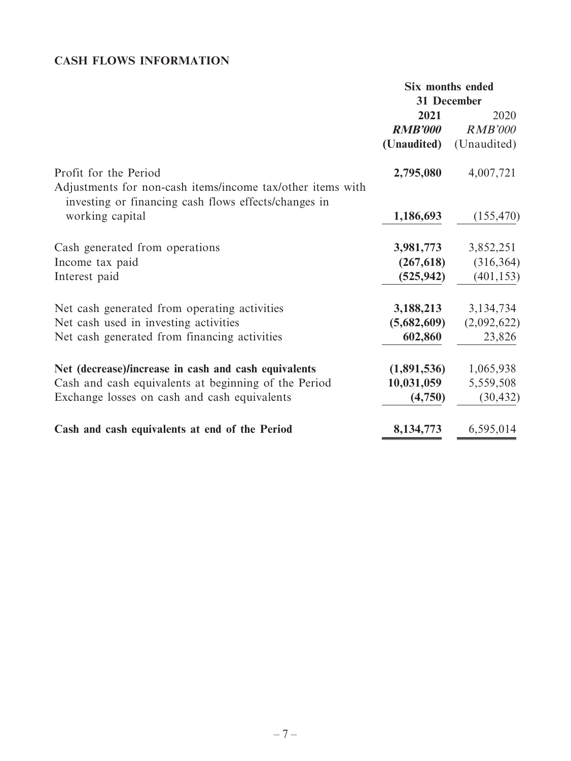# **CASH FLOWS INFORMATION**

|                                                                                                                    | Six months ended |                |
|--------------------------------------------------------------------------------------------------------------------|------------------|----------------|
|                                                                                                                    | 31 December      |                |
|                                                                                                                    | 2021             | 2020           |
|                                                                                                                    | <b>RMB'000</b>   | <b>RMB'000</b> |
|                                                                                                                    | (Unaudited)      | (Unaudited)    |
| Profit for the Period                                                                                              | 2,795,080        | 4,007,721      |
| Adjustments for non-cash items/income tax/other items with<br>investing or financing cash flows effects/changes in |                  |                |
| working capital                                                                                                    | 1,186,693        | (155, 470)     |
| Cash generated from operations                                                                                     | 3,981,773        | 3,852,251      |
| Income tax paid                                                                                                    | (267, 618)       | (316, 364)     |
| Interest paid                                                                                                      | (525, 942)       | (401, 153)     |
| Net cash generated from operating activities                                                                       | 3,188,213        | 3,134,734      |
| Net cash used in investing activities                                                                              | (5,682,609)      | (2,092,622)    |
| Net cash generated from financing activities                                                                       | 602,860          | 23,826         |
| Net (decrease)/increase in cash and cash equivalents                                                               | (1,891,536)      | 1,065,938      |
| Cash and cash equivalents at beginning of the Period                                                               | 10,031,059       | 5,559,508      |
| Exchange losses on cash and cash equivalents                                                                       | (4,750)          | (30, 432)      |
| Cash and cash equivalents at end of the Period                                                                     | 8,134,773        | 6,595,014      |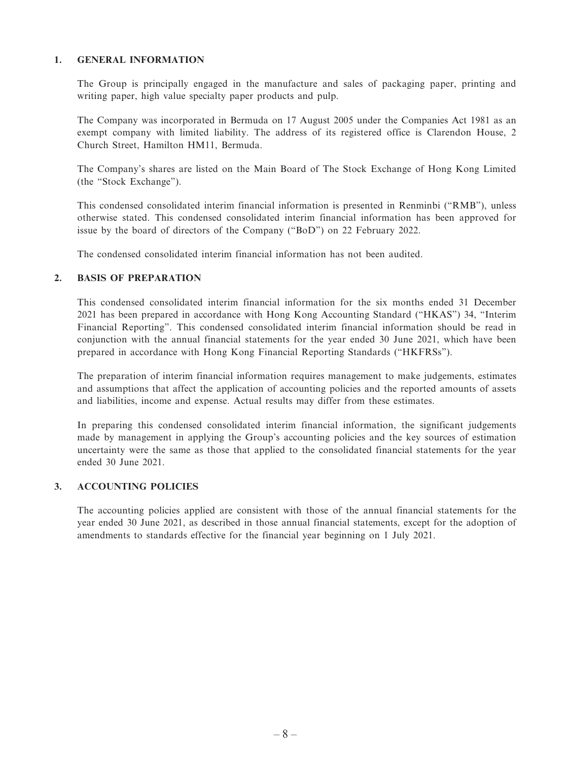#### **1. GENERAL INFORMATION**

The Group is principally engaged in the manufacture and sales of packaging paper, printing and writing paper, high value specialty paper products and pulp.

The Company was incorporated in Bermuda on 17 August 2005 under the Companies Act 1981 as an exempt company with limited liability. The address of its registered office is Clarendon House, 2 Church Street, Hamilton HM11, Bermuda.

The Company's shares are listed on the Main Board of The Stock Exchange of Hong Kong Limited (the "Stock Exchange").

This condensed consolidated interim financial information is presented in Renminbi ("RMB"), unless otherwise stated. This condensed consolidated interim financial information has been approved for issue by the board of directors of the Company ("BoD") on 22 February 2022.

The condensed consolidated interim financial information has not been audited.

#### **2. BASIS OF PREPARATION**

This condensed consolidated interim financial information for the six months ended 31 December 2021 has been prepared in accordance with Hong Kong Accounting Standard ("HKAS") 34, "Interim Financial Reporting". This condensed consolidated interim financial information should be read in conjunction with the annual financial statements for the year ended 30 June 2021, which have been prepared in accordance with Hong Kong Financial Reporting Standards ("HKFRSs").

The preparation of interim financial information requires management to make judgements, estimates and assumptions that affect the application of accounting policies and the reported amounts of assets and liabilities, income and expense. Actual results may differ from these estimates.

In preparing this condensed consolidated interim financial information, the significant judgements made by management in applying the Group's accounting policies and the key sources of estimation uncertainty were the same as those that applied to the consolidated financial statements for the year ended 30 June 2021.

### **3. ACCOUNTING POLICIES**

The accounting policies applied are consistent with those of the annual financial statements for the year ended 30 June 2021, as described in those annual financial statements, except for the adoption of amendments to standards effective for the financial year beginning on 1 July 2021.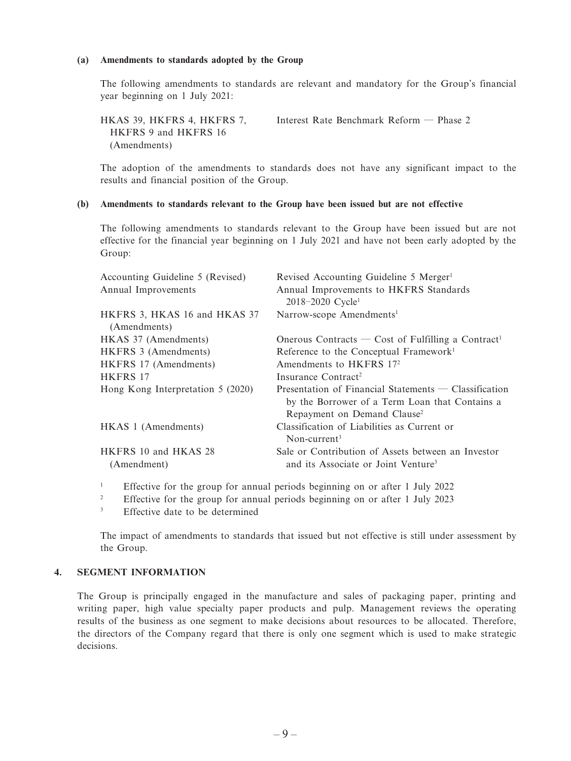#### **(a) Amendments to standards adopted by the Group**

The following amendments to standards are relevant and mandatory for the Group's financial year beginning on 1 July 2021:

HKAS 39, HKFRS 4, HKFRS 7, HKFRS 9 and HKFRS 16 (Amendments) Interest Rate Benchmark Reform — Phase 2

The adoption of the amendments to standards does not have any significant impact to the results and financial position of the Group.

#### **(b) Amendments to standards relevant to the Group have been issued but are not effective**

The following amendments to standards relevant to the Group have been issued but are not effective for the financial year beginning on 1 July 2021 and have not been early adopted by the Group:

| Accounting Guideline 5 (Revised)<br>Annual Improvements | Revised Accounting Guideline 5 Merger <sup>1</sup><br>Annual Improvements to HKFRS Standards<br>$2018 - 2020$ Cycle <sup>1</sup>                     |
|---------------------------------------------------------|------------------------------------------------------------------------------------------------------------------------------------------------------|
| HKFRS 3, HKAS 16 and HKAS 37<br>(Amendments)            | Narrow-scope Amendments <sup>1</sup>                                                                                                                 |
| HKAS 37 (Amendments)                                    | Onerous Contracts — Cost of Fulfilling a Contract <sup>1</sup>                                                                                       |
| HKFRS 3 (Amendments)                                    | Reference to the Conceptual Framework <sup>1</sup>                                                                                                   |
| HKFRS 17 (Amendments)                                   | Amendments to HKFRS 17 <sup>2</sup>                                                                                                                  |
| HKFRS 17                                                | Insurance Contract <sup>2</sup>                                                                                                                      |
| Hong Kong Interpretation 5 (2020)                       | Presentation of Financial Statements $-$ Classification<br>by the Borrower of a Term Loan that Contains a<br>Repayment on Demand Clause <sup>2</sup> |
| HKAS 1 (Amendments)                                     | Classification of Liabilities as Current or<br>Non-current <sup>3</sup>                                                                              |
| HKFRS 10 and HKAS 28<br>(Amendment)                     | Sale or Contribution of Assets between an Investor<br>and its Associate or Joint Venture <sup>3</sup>                                                |

1 Effective for the group for annual periods beginning on or after 1 July 2022

2 Effective for the group for annual periods beginning on or after 1 July 2023

3 Effective date to be determined

The impact of amendments to standards that issued but not effective is still under assessment by the Group.

#### **4. SEGMENT INFORMATION**

The Group is principally engaged in the manufacture and sales of packaging paper, printing and writing paper, high value specialty paper products and pulp. Management reviews the operating results of the business as one segment to make decisions about resources to be allocated. Therefore, the directors of the Company regard that there is only one segment which is used to make strategic decisions.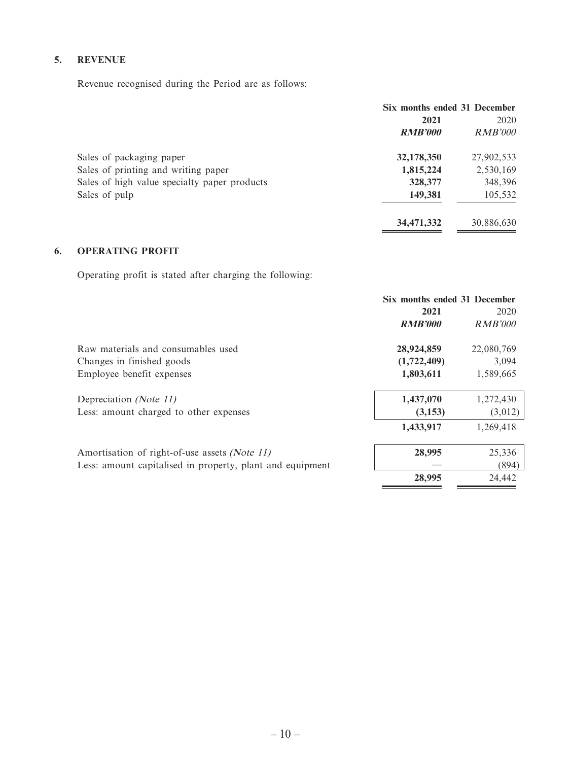### **5. REVENUE**

Revenue recognised during the Period are as follows:

|                                              | Six months ended 31 December |            |
|----------------------------------------------|------------------------------|------------|
|                                              | 2021                         | 2020       |
|                                              | <b>RMB'000</b>               | RMB'000    |
| Sales of packaging paper                     | 32,178,350                   | 27,902,533 |
| Sales of printing and writing paper          | 1,815,224                    | 2,530,169  |
| Sales of high value specialty paper products | 328,377                      | 348,396    |
| Sales of pulp                                | 149.381                      | 105,532    |
|                                              | 34,471,332                   | 30,886,630 |

# **6. OPERATING PROFIT**

Operating profit is stated after charging the following:

|                                                           | Six months ended 31 December |                |
|-----------------------------------------------------------|------------------------------|----------------|
|                                                           | 2021                         | 2020           |
|                                                           | <b>RMB'000</b>               | <b>RMB'000</b> |
| Raw materials and consumables used                        | 28,924,859                   | 22,080,769     |
| Changes in finished goods                                 | (1,722,409)                  | 3,094          |
| Employee benefit expenses                                 | 1,803,611                    | 1,589,665      |
| Depreciation (Note 11)                                    | 1,437,070                    | 1,272,430      |
| Less: amount charged to other expenses                    | (3,153)                      | (3,012)        |
|                                                           | 1,433,917                    | 1,269,418      |
| Amortisation of right-of-use assets (Note 11)             | 28,995                       | 25,336         |
| Less: amount capitalised in property, plant and equipment |                              | (894)          |
|                                                           | 28,995                       | 24,442         |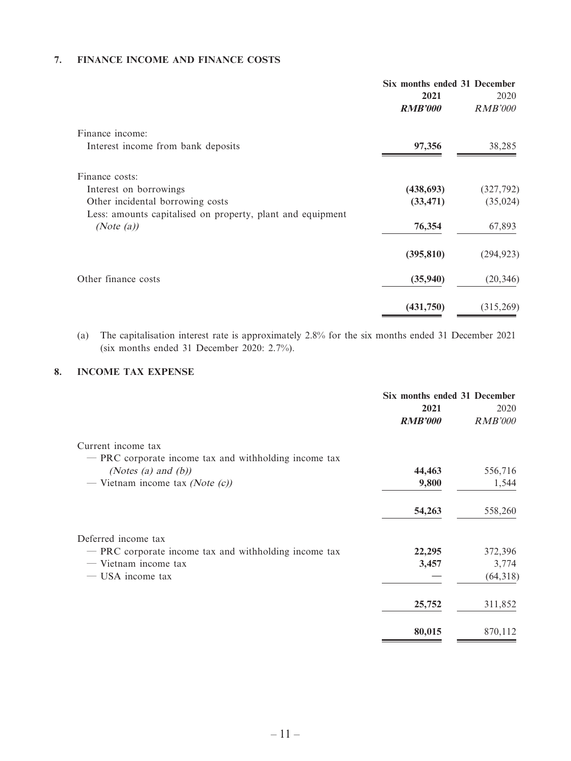### **7. FINANCE INCOME AND FINANCE COSTS**

|                                                            | Six months ended 31 December |                        |
|------------------------------------------------------------|------------------------------|------------------------|
|                                                            | 2021<br><b>RMB'000</b>       | 2020<br><b>RMB'000</b> |
| Finance income:                                            |                              |                        |
| Interest income from bank deposits                         | 97,356                       | 38,285                 |
| Finance costs:                                             |                              |                        |
| Interest on borrowings                                     | (438, 693)                   | (327, 792)             |
| Other incidental borrowing costs                           | (33, 471)                    | (35, 024)              |
| Less: amounts capitalised on property, plant and equipment |                              |                        |
| (Note $(a)$ )                                              | 76,354                       | 67,893                 |
|                                                            | (395, 810)                   | (294, 923)             |
| Other finance costs                                        | (35,940)                     | (20, 346)              |
|                                                            | (431,750)                    | (315,269)              |

(a) The capitalisation interest rate is approximately 2.8% for the six months ended 31 December 2021 (six months ended 31 December 2020: 2.7%).

#### **8. INCOME TAX EXPENSE**

|                                                       | Six months ended 31 December |                |
|-------------------------------------------------------|------------------------------|----------------|
|                                                       | 2021                         | 2020           |
|                                                       | <b>RMB'000</b>               | <i>RMB'000</i> |
| Current income tax                                    |                              |                |
| - PRC corporate income tax and withholding income tax |                              |                |
| (Notes (a) and $(b)$ )                                | 44,463                       | 556,716        |
| — Vietnam income tax (Note $(c)$ )                    | 9,800                        | 1,544          |
|                                                       | 54,263                       | 558,260        |
| Deferred income tax                                   |                              |                |
| - PRC corporate income tax and withholding income tax | 22,295                       | 372,396        |
| - Vietnam income tax                                  | 3,457                        | 3,774          |
| — USA income tax                                      |                              | (64,318)       |
|                                                       | 25,752                       | 311,852        |
|                                                       | 80,015                       | 870,112        |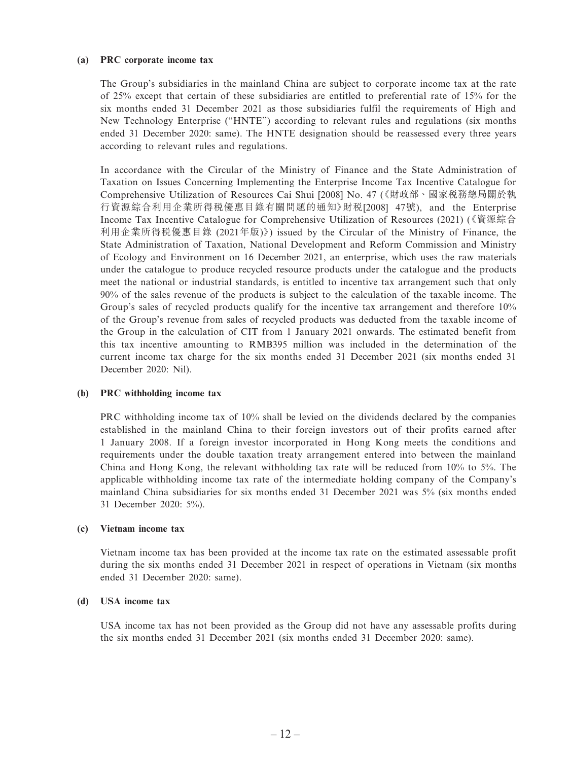#### **(a) PRC corporate income tax**

The Group's subsidiaries in the mainland China are subject to corporate income tax at the rate of 25% except that certain of these subsidiaries are entitled to preferential rate of 15% for the six months ended 31 December 2021 as those subsidiaries fulfil the requirements of High and New Technology Enterprise ("HNTE") according to relevant rules and regulations (six months ended 31 December 2020: same). The HNTE designation should be reassessed every three years according to relevant rules and regulations.

In accordance with the Circular of the Ministry of Finance and the State Administration of Taxation on Issues Concerning Implementing the Enterprise Income Tax Incentive Catalogue for Comprehensive Utilization of Resources Cai Shui [2008] No. 47 (《財政部、國家稅務總局關於執 行資源綜合利用企業所得稅優惠目錄有關問題的通知》財稅[2008] 47號), and the Enterprise Income Tax Incentive Catalogue for Comprehensive Utilization of Resources (2021) (《資源綜合 利用企業所得稅優惠目錄 (2021年版)》) issued by the Circular of the Ministry of Finance, the State Administration of Taxation, National Development and Reform Commission and Ministry of Ecology and Environment on 16 December 2021, an enterprise, which uses the raw materials under the catalogue to produce recycled resource products under the catalogue and the products meet the national or industrial standards, is entitled to incentive tax arrangement such that only 90% of the sales revenue of the products is subject to the calculation of the taxable income. The Group's sales of recycled products qualify for the incentive tax arrangement and therefore 10% of the Group's revenue from sales of recycled products was deducted from the taxable income of the Group in the calculation of CIT from 1 January 2021 onwards. The estimated benefit from this tax incentive amounting to RMB395 million was included in the determination of the current income tax charge for the six months ended 31 December 2021 (six months ended 31 December 2020: Nil).

#### **(b) PRC withholding income tax**

PRC withholding income tax of 10% shall be levied on the dividends declared by the companies established in the mainland China to their foreign investors out of their profits earned after 1 January 2008. If a foreign investor incorporated in Hong Kong meets the conditions and requirements under the double taxation treaty arrangement entered into between the mainland China and Hong Kong, the relevant withholding tax rate will be reduced from 10% to 5%. The applicable withholding income tax rate of the intermediate holding company of the Company's mainland China subsidiaries for six months ended 31 December 2021 was 5% (six months ended 31 December 2020: 5%).

#### **(c) Vietnam income tax**

Vietnam income tax has been provided at the income tax rate on the estimated assessable profit during the six months ended 31 December 2021 in respect of operations in Vietnam (six months ended 31 December 2020: same).

#### **(d) USA income tax**

USA income tax has not been provided as the Group did not have any assessable profits during the six months ended 31 December 2021 (six months ended 31 December 2020: same).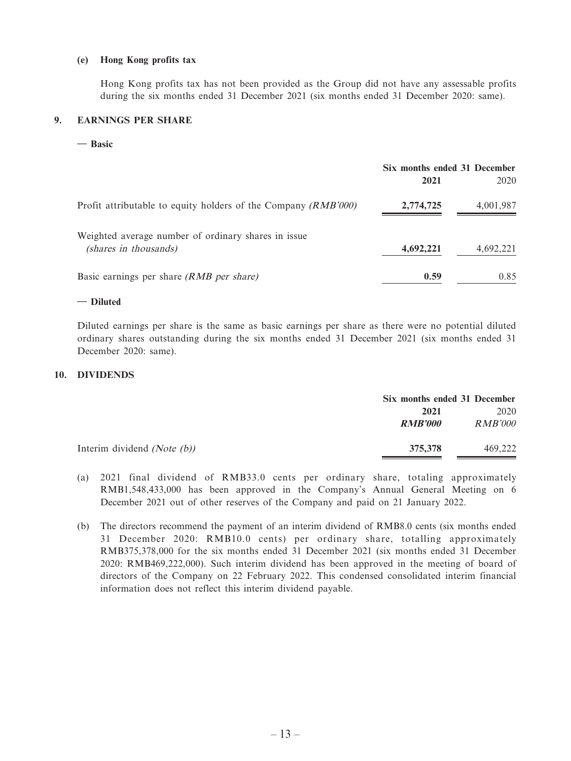#### **(e) Hong Kong profits tax**

Hong Kong profits tax has not been provided as the Group did not have any assessable profits during the six months ended 31 December 2021 (six months ended 31 December 2020: same).

#### **9. EARNINGS PER SHARE**

**— Basic**

|                                                                              | Six months ended 31 December<br>2021 | 2020      |
|------------------------------------------------------------------------------|--------------------------------------|-----------|
| Profit attributable to equity holders of the Company $(RMB'000)$             | 2,774,725                            | 4,001,987 |
| Weighted average number of ordinary shares in issue<br>(shares in thousands) | 4,692,221                            | 4,692,221 |
| Basic earnings per share (RMB per share)                                     | 0.59                                 | 0.85      |

#### **— Diluted**

Diluted earnings per share is the same as basic earnings per share as there were no potential diluted ordinary shares outstanding during the six months ended 31 December 2021 (six months ended 31 December 2020: same).

#### **10. DIVIDENDS**

|                                | Six months ended 31 December |         |
|--------------------------------|------------------------------|---------|
|                                | 2021                         | 2020    |
|                                | <b>RMB'000</b>               | RMB'000 |
| Interim dividend (Note $(b)$ ) | 375,378                      | 469.222 |

- (a) 2021 final dividend of RMB33.0 cents per ordinary share, totaling approximately RMB1,548,433,000 has been approved in the Company's Annual General Meeting on 6 December 2021 out of other reserves of the Company and paid on 21 January 2022.
- (b) The directors recommend the payment of an interim dividend of RMB8.0 cents (six months ended 31 December 2020: RMB10.0 cents) per ordinary share, totalling approximately RMB375,378,000 for the six months ended 31 December 2021 (six months ended 31 December 2020: RMB469,222,000). Such interim dividend has been approved in the meeting of board of directors of the Company on 22 February 2022. This condensed consolidated interim financial information does not reflect this interim dividend payable.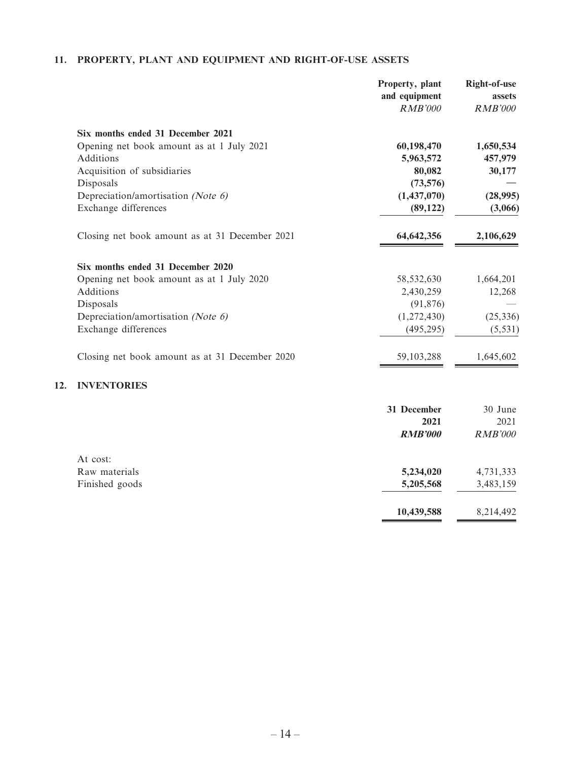# **11. PROPERTY, PLANT AND EQUIPMENT AND RIGHT-OF-USE ASSETS**

**12.** 

|                                                | Property, plant<br>and equipment | <b>Right-of-use</b><br>assets |
|------------------------------------------------|----------------------------------|-------------------------------|
|                                                | <b>RMB'000</b>                   | <b>RMB'000</b>                |
| Six months ended 31 December 2021              |                                  |                               |
| Opening net book amount as at 1 July 2021      | 60,198,470                       | 1,650,534                     |
| <b>Additions</b>                               | 5,963,572                        | 457,979                       |
| Acquisition of subsidiaries                    | 80,082                           | 30,177                        |
| Disposals                                      | (73,576)                         |                               |
| Depreciation/amortisation (Note 6)             | (1,437,070)                      | (28,995)                      |
| Exchange differences                           | (89, 122)                        | (3,066)                       |
| Closing net book amount as at 31 December 2021 | 64, 642, 356                     | 2,106,629                     |
| Six months ended 31 December 2020              |                                  |                               |
| Opening net book amount as at 1 July 2020      | 58,532,630                       | 1,664,201                     |
| Additions                                      | 2,430,259                        | 12,268                        |
| Disposals                                      | (91, 876)                        |                               |
| Depreciation/amortisation (Note 6)             | (1,272,430)                      | (25, 336)                     |
| Exchange differences                           | (495, 295)                       | (5, 531)                      |
| Closing net book amount as at 31 December 2020 | 59,103,288                       | 1,645,602                     |
| <b>INVENTORIES</b>                             |                                  |                               |
|                                                | 31 December                      | 30 June                       |
|                                                | 2021                             | 2021                          |
|                                                | <b>RMB'000</b>                   | <b>RMB'000</b>                |
| At cost:                                       |                                  |                               |
| Raw materials                                  | 5,234,020                        | 4,731,333                     |
| Finished goods                                 | 5,205,568                        | 3,483,159                     |

**10,439,588** 8,214,492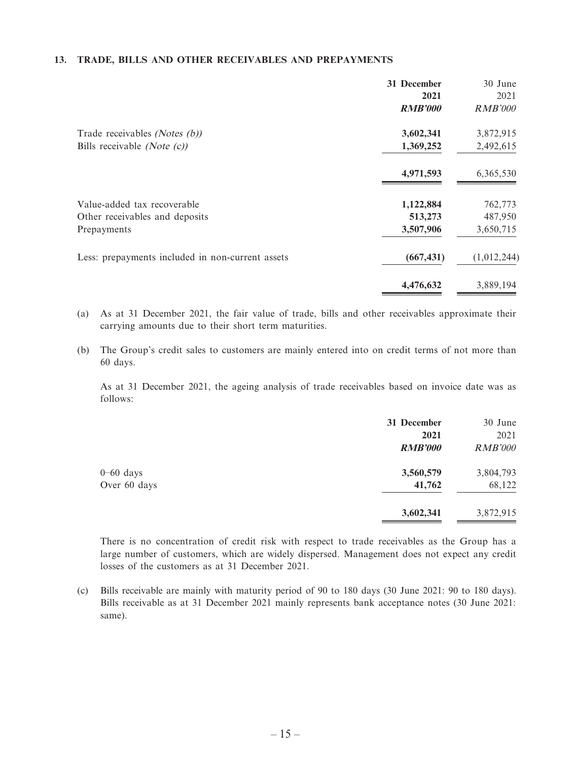### **13. TRADE, BILLS AND OTHER RECEIVABLES AND PREPAYMENTS**

|                                                  | 31 December    | 30 June        |
|--------------------------------------------------|----------------|----------------|
|                                                  | 2021           | 2021           |
|                                                  | <b>RMB'000</b> | <i>RMB'000</i> |
| Trade receivables (Notes (b))                    | 3,602,341      | 3,872,915      |
| Bills receivable ( <i>Note</i> $(c)$ )           | 1,369,252      | 2,492,615      |
|                                                  | 4,971,593      | 6,365,530      |
| Value-added tax recoverable                      | 1,122,884      | 762,773        |
| Other receivables and deposits                   | 513,273        | 487,950        |
| Prepayments                                      | 3,507,906      | 3,650,715      |
| Less: prepayments included in non-current assets | (667, 431)     | (1,012,244)    |
|                                                  | 4,476,632      | 3,889,194      |

(a) As at 31 December 2021, the fair value of trade, bills and other receivables approximate their carrying amounts due to their short term maturities.

(b) The Group's credit sales to customers are mainly entered into on credit terms of not more than 60 days.

As at 31 December 2021, the ageing analysis of trade receivables based on invoice date was as follows:

|              | 31 December    | 30 June        |
|--------------|----------------|----------------|
|              | 2021           | 2021           |
|              | <b>RMB'000</b> | <b>RMB'000</b> |
| $0-60$ days  | 3,560,579      | 3,804,793      |
| Over 60 days | 41,762         | 68,122         |
|              | 3,602,341      | 3,872,915      |

There is no concentration of credit risk with respect to trade receivables as the Group has a large number of customers, which are widely dispersed. Management does not expect any credit losses of the customers as at 31 December 2021.

(c) Bills receivable are mainly with maturity period of 90 to 180 days (30 June 2021: 90 to 180 days). Bills receivable as at 31 December 2021 mainly represents bank acceptance notes (30 June 2021: same).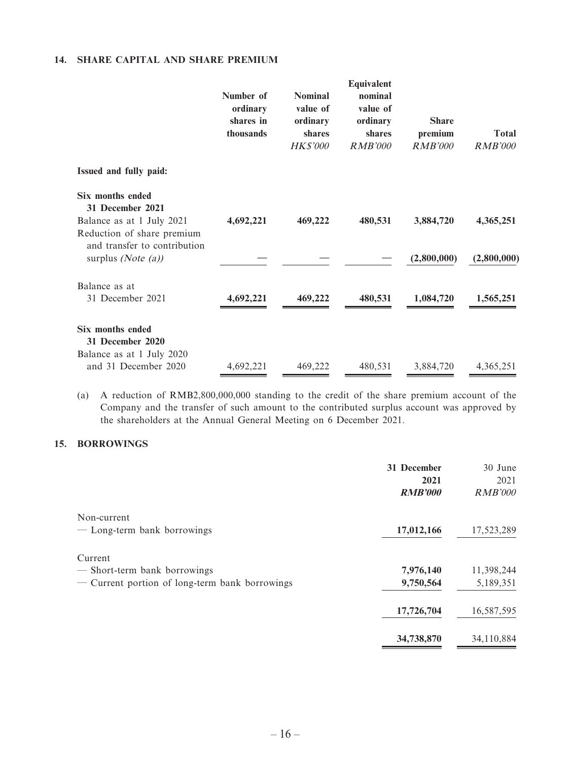### **14. SHARE CAPITAL AND SHARE PREMIUM**

|                                                                                                        | Number of<br>ordinary<br>shares in<br>thousands | <b>Nominal</b><br>value of<br>ordinary<br>shares<br><b>HK\$'000</b> | Equivalent<br>nominal<br>value of<br>ordinary<br>shares<br><b>RMB'000</b> | <b>Share</b><br>premium<br><b>RMB'000</b> | <b>Total</b><br><b>RMB'000</b> |
|--------------------------------------------------------------------------------------------------------|-------------------------------------------------|---------------------------------------------------------------------|---------------------------------------------------------------------------|-------------------------------------------|--------------------------------|
| Issued and fully paid:                                                                                 |                                                 |                                                                     |                                                                           |                                           |                                |
| <b>Six months ended</b><br>31 December 2021<br>Balance as at 1 July 2021<br>Reduction of share premium | 4,692,221                                       | 469,222                                                             | 480,531                                                                   | 3,884,720                                 | 4,365,251                      |
| and transfer to contribution<br>surplus (Note $(a)$ )                                                  |                                                 |                                                                     |                                                                           | (2,800,000)                               | (2,800,000)                    |
| Balance as at<br>31 December 2021                                                                      | 4,692,221                                       | 469,222                                                             | 480,531                                                                   | 1,084,720                                 | 1,565,251                      |
| <b>Six months ended</b><br>31 December 2020<br>Balance as at 1 July 2020                               |                                                 |                                                                     |                                                                           |                                           |                                |
| and 31 December 2020                                                                                   | 4,692,221                                       | 469,222                                                             | 480,531                                                                   | 3,884,720                                 | 4,365,251                      |

(a) A reduction of RMB2,800,000,000 standing to the credit of the share premium account of the Company and the transfer of such amount to the contributed surplus account was approved by the shareholders at the Annual General Meeting on 6 December 2021.

### **15. BORROWINGS**

|                                                | 31 December<br>2021<br><b>RMB'000</b> | 30 June<br>2021<br><b>RMB'000</b> |
|------------------------------------------------|---------------------------------------|-----------------------------------|
| Non-current                                    |                                       |                                   |
| - Long-term bank borrowings                    | 17,012,166                            | 17,523,289                        |
| Current                                        |                                       |                                   |
| - Short-term bank borrowings                   | 7,976,140                             | 11,398,244                        |
| - Current portion of long-term bank borrowings | 9,750,564                             | 5,189,351                         |
|                                                | 17,726,704                            | 16,587,595                        |
|                                                | 34,738,870                            | 34,110,884                        |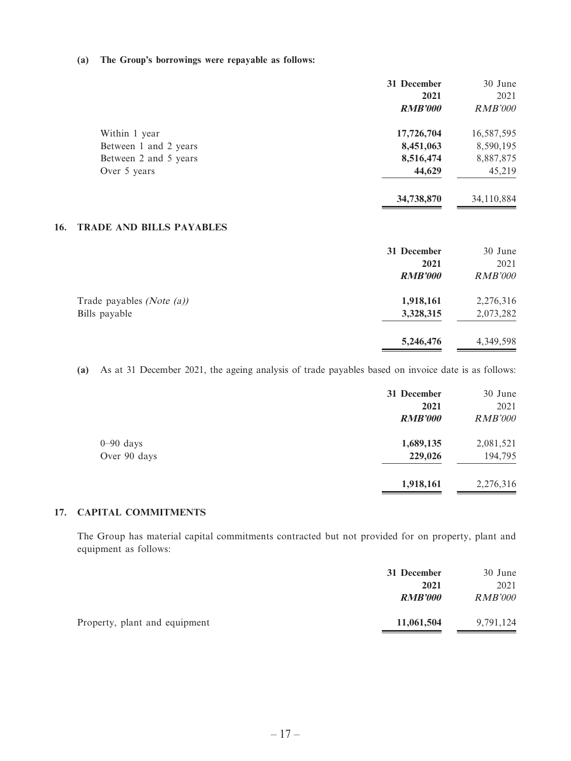#### **(a) The Group's borrowings were repayable as follows:**

|     |                                 | 31 December    | 30 June        |
|-----|---------------------------------|----------------|----------------|
|     |                                 | 2021           | 2021           |
|     |                                 | <b>RMB'000</b> | <b>RMB'000</b> |
|     | Within 1 year                   | 17,726,704     | 16,587,595     |
|     | Between 1 and 2 years           | 8,451,063      | 8,590,195      |
|     | Between 2 and 5 years           | 8,516,474      | 8,887,875      |
|     | Over 5 years                    | 44,629         | 45,219         |
|     |                                 | 34,738,870     | 34,110,884     |
| 16. | <b>TRADE AND BILLS PAYABLES</b> |                |                |
|     |                                 | 31 December    | 30 June        |
|     |                                 | 2021           | 2021           |
|     |                                 | <b>RMB'000</b> | <b>RMB'000</b> |
|     | Trade payables $(Note (a))$     | 1,918,161      | 2,276,316      |
|     | Bills payable                   | 3,328,315      | 2,073,282      |
|     |                                 | 5,246,476      | 4,349,598      |

 **(a)** As at 31 December 2021, the ageing analysis of trade payables based on invoice date is as follows:

|               | 31 December    | 30 June        |
|---------------|----------------|----------------|
|               | 2021           | 2021           |
|               | <b>RMB'000</b> | <b>RMB'000</b> |
| $0 - 90$ days | 1,689,135      | 2,081,521      |
| Over 90 days  | 229,026        | 194,795        |
|               | 1,918,161      | 2,276,316      |

### **17. CAPITAL COMMITMENTS**

The Group has material capital commitments contracted but not provided for on property, plant and equipment as follows:

| 31 December    | 30 June        |
|----------------|----------------|
| 2021           | 2021           |
| <b>RMB'000</b> | <i>RMB'000</i> |
| 11,061,504     | 9,791,124      |
|                |                |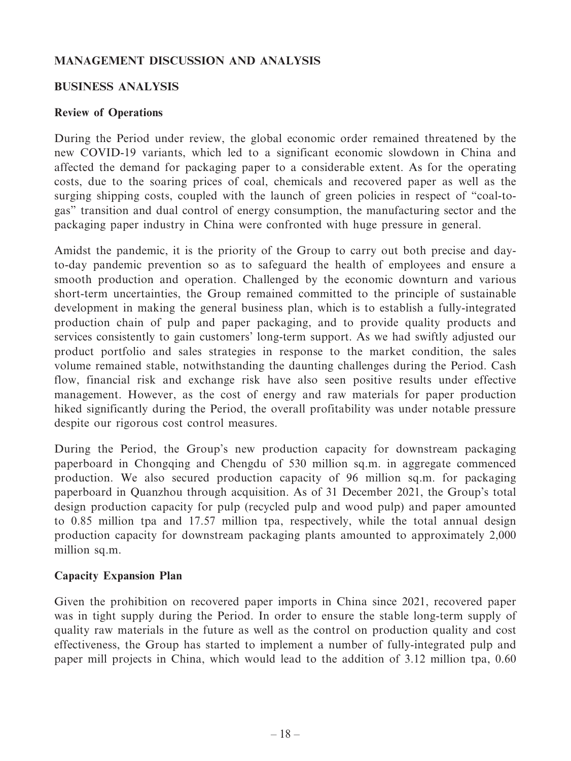# **MANAGEMENT DISCUSSION AND ANALYSIS**

# **BUSINESS ANALYSIS**

# **Review of Operations**

During the Period under review, the global economic order remained threatened by the new COVID-19 variants, which led to a significant economic slowdown in China and affected the demand for packaging paper to a considerable extent. As for the operating costs, due to the soaring prices of coal, chemicals and recovered paper as well as the surging shipping costs, coupled with the launch of green policies in respect of "coal-togas" transition and dual control of energy consumption, the manufacturing sector and the packaging paper industry in China were confronted with huge pressure in general.

Amidst the pandemic, it is the priority of the Group to carry out both precise and dayto-day pandemic prevention so as to safeguard the health of employees and ensure a smooth production and operation. Challenged by the economic downturn and various short-term uncertainties, the Group remained committed to the principle of sustainable development in making the general business plan, which is to establish a fully-integrated production chain of pulp and paper packaging, and to provide quality products and services consistently to gain customers' long-term support. As we had swiftly adjusted our product portfolio and sales strategies in response to the market condition, the sales volume remained stable, notwithstanding the daunting challenges during the Period. Cash flow, financial risk and exchange risk have also seen positive results under effective management. However, as the cost of energy and raw materials for paper production hiked significantly during the Period, the overall profitability was under notable pressure despite our rigorous cost control measures.

During the Period, the Group's new production capacity for downstream packaging paperboard in Chongqing and Chengdu of 530 million sq.m. in aggregate commenced production. We also secured production capacity of 96 million sq.m. for packaging paperboard in Quanzhou through acquisition. As of 31 December 2021, the Group's total design production capacity for pulp (recycled pulp and wood pulp) and paper amounted to 0.85 million tpa and 17.57 million tpa, respectively, while the total annual design production capacity for downstream packaging plants amounted to approximately 2,000 million sq.m.

# **Capacity Expansion Plan**

Given the prohibition on recovered paper imports in China since 2021, recovered paper was in tight supply during the Period. In order to ensure the stable long-term supply of quality raw materials in the future as well as the control on production quality and cost effectiveness, the Group has started to implement a number of fully-integrated pulp and paper mill projects in China, which would lead to the addition of 3.12 million tpa, 0.60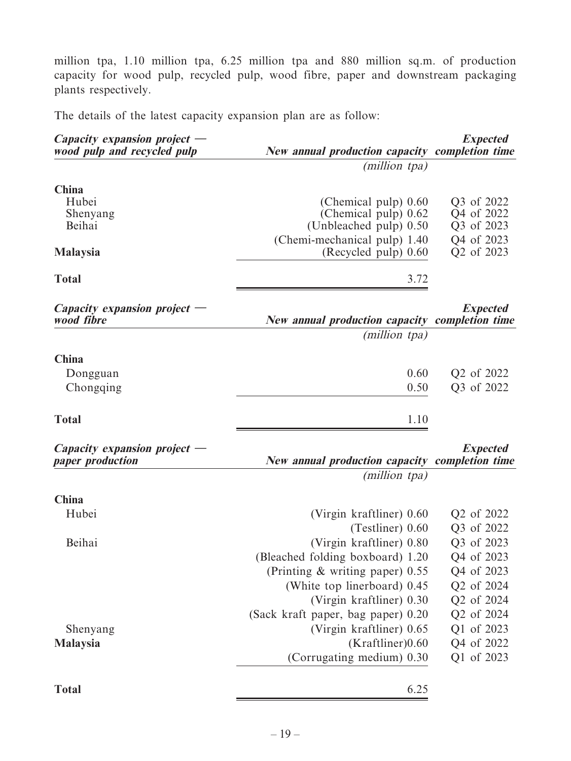million tpa, 1.10 million tpa, 6.25 million tpa and 880 million sq.m. of production capacity for wood pulp, recycled pulp, wood fibre, paper and downstream packaging plants respectively.

The details of the latest capacity expansion plan are as follow:

| Capacity expansion project $-$<br>wood pulp and recycled pulp | <b>New annual production capacity completion time</b>                                                  | <b>Expected</b>                                      |
|---------------------------------------------------------------|--------------------------------------------------------------------------------------------------------|------------------------------------------------------|
|                                                               | (million tpa)                                                                                          |                                                      |
| China<br>Hubei<br>Shenyang<br>Beihai                          | (Chemical pulp) 0.60<br>(Chemical pulp) 0.62<br>(Unbleached pulp) 0.50<br>(Chemi-mechanical pulp) 1.40 | Q3 of 2022<br>Q4 of 2022<br>Q3 of 2023<br>Q4 of 2023 |
| <b>Malaysia</b>                                               | (Recycled pulp) 0.60                                                                                   | Q2 of 2023                                           |
| <b>Total</b>                                                  | 3.72                                                                                                   |                                                      |
| Capacity expansion project $-$<br>wood fibre                  | New annual production capacity completion time                                                         | <b>Expected</b>                                      |
|                                                               | (million tpa)                                                                                          |                                                      |
| China<br>Dongguan                                             | 0.60                                                                                                   | Q2 of 2022                                           |
| Chongqing                                                     | 0.50                                                                                                   | Q3 of 2022                                           |
|                                                               |                                                                                                        |                                                      |
| <b>Total</b>                                                  | 1.10                                                                                                   |                                                      |
| Capacity expansion project $-$<br>paper production            | <b>New annual production capacity completion time</b>                                                  | <b>Expected</b>                                      |
|                                                               | (million tpa)                                                                                          |                                                      |
| China                                                         |                                                                                                        |                                                      |
| Hubei                                                         | (Virgin kraftliner) 0.60                                                                               | Q2 of 2022                                           |
| Beihai                                                        | (Testliner) 0.60<br>(Virgin kraftliner) 0.80                                                           | Q3 of 2022<br>Q3 of 2023                             |
|                                                               | (Bleached folding boxboard) 1.20                                                                       | Q4 of 2023                                           |
|                                                               | (Printing $\&$ writing paper) 0.55                                                                     | Q4 of 2023                                           |
|                                                               | (White top linerboard) 0.45                                                                            | Q2 of 2024                                           |
|                                                               | (Virgin kraftliner) 0.30                                                                               | Q2 of 2024                                           |
|                                                               | (Sack kraft paper, bag paper) 0.20                                                                     | Q2 of 2024                                           |
| Shenyang                                                      | (Virgin kraftliner) 0.65                                                                               | Q1 of 2023                                           |
| Malaysia                                                      | (Kraftliner)0.60                                                                                       | Q4 of 2022                                           |
|                                                               | (Corrugating medium) 0.30                                                                              | Q1 of 2023                                           |
| <b>Total</b>                                                  | 6.25                                                                                                   |                                                      |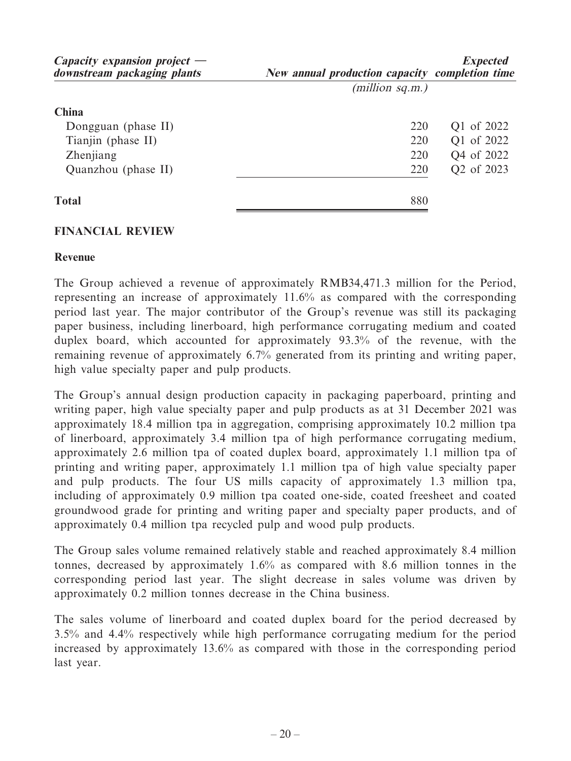| Capacity expansion project $-$<br>downstream packaging plants | New annual production capacity completion time | <b>Expected</b> |
|---------------------------------------------------------------|------------------------------------------------|-----------------|
|                                                               | (million sq.m.)                                |                 |
| China                                                         |                                                |                 |
| Dongguan (phase II)                                           | 220                                            | Q1 of 2022      |
| Tianjin (phase II)                                            | 220                                            | Q1 of 2022      |
| Zhenjiang                                                     | 220                                            | Q4 of 2022      |
| Quanzhou (phase II)                                           | 220                                            | Q2 of 2023      |
| <b>Total</b>                                                  | 880                                            |                 |

# **FINANCIAL REVIEW**

### **Revenue**

The Group achieved a revenue of approximately RMB34,471.3 million for the Period, representing an increase of approximately 11.6% as compared with the corresponding period last year. The major contributor of the Group's revenue was still its packaging paper business, including linerboard, high performance corrugating medium and coated duplex board, which accounted for approximately 93.3% of the revenue, with the remaining revenue of approximately 6.7% generated from its printing and writing paper, high value specialty paper and pulp products.

The Group's annual design production capacity in packaging paperboard, printing and writing paper, high value specialty paper and pulp products as at 31 December 2021 was approximately 18.4 million tpa in aggregation, comprising approximately 10.2 million tpa of linerboard, approximately 3.4 million tpa of high performance corrugating medium, approximately 2.6 million tpa of coated duplex board, approximately 1.1 million tpa of printing and writing paper, approximately 1.1 million tpa of high value specialty paper and pulp products. The four US mills capacity of approximately 1.3 million tpa, including of approximately 0.9 million tpa coated one-side, coated freesheet and coated groundwood grade for printing and writing paper and specialty paper products, and of approximately 0.4 million tpa recycled pulp and wood pulp products.

The Group sales volume remained relatively stable and reached approximately 8.4 million tonnes, decreased by approximately 1.6% as compared with 8.6 million tonnes in the corresponding period last year. The slight decrease in sales volume was driven by approximately 0.2 million tonnes decrease in the China business.

The sales volume of linerboard and coated duplex board for the period decreased by 3.5% and 4.4% respectively while high performance corrugating medium for the period increased by approximately 13.6% as compared with those in the corresponding period last year.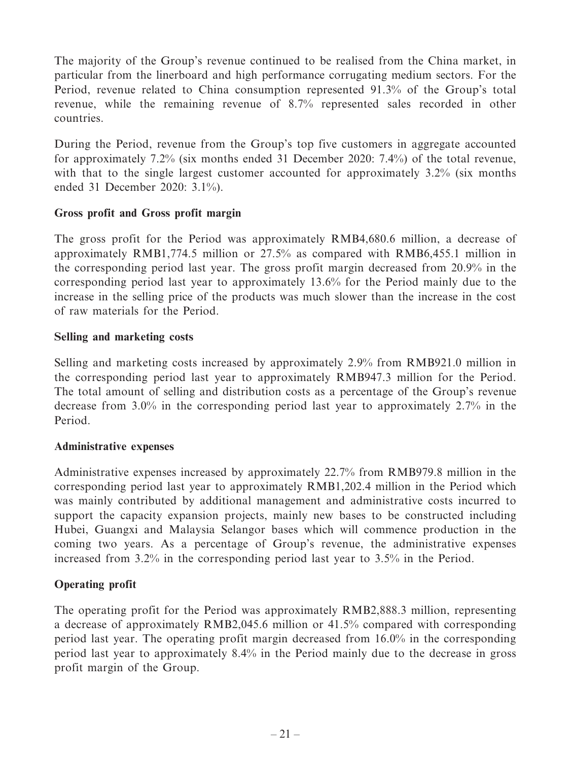The majority of the Group's revenue continued to be realised from the China market, in particular from the linerboard and high performance corrugating medium sectors. For the Period, revenue related to China consumption represented 91.3% of the Group's total revenue, while the remaining revenue of 8.7% represented sales recorded in other countries.

During the Period, revenue from the Group's top five customers in aggregate accounted for approximately 7.2% (six months ended 31 December 2020: 7.4%) of the total revenue, with that to the single largest customer accounted for approximately 3.2% (six months ended 31 December 2020: 3.1%).

# **Gross profit and Gross profit margin**

The gross profit for the Period was approximately RMB4,680.6 million, a decrease of approximately RMB1,774.5 million or 27.5% as compared with RMB6,455.1 million in the corresponding period last year. The gross profit margin decreased from 20.9% in the corresponding period last year to approximately 13.6% for the Period mainly due to the increase in the selling price of the products was much slower than the increase in the cost of raw materials for the Period.

# **Selling and marketing costs**

Selling and marketing costs increased by approximately 2.9% from RMB921.0 million in the corresponding period last year to approximately RMB947.3 million for the Period. The total amount of selling and distribution costs as a percentage of the Group's revenue decrease from 3.0% in the corresponding period last year to approximately 2.7% in the Period.

# **Administrative expenses**

Administrative expenses increased by approximately 22.7% from RMB979.8 million in the corresponding period last year to approximately RMB1,202.4 million in the Period which was mainly contributed by additional management and administrative costs incurred to support the capacity expansion projects, mainly new bases to be constructed including Hubei, Guangxi and Malaysia Selangor bases which will commence production in the coming two years. As a percentage of Group's revenue, the administrative expenses increased from 3.2% in the corresponding period last year to 3.5% in the Period.

# **Operating profit**

The operating profit for the Period was approximately RMB2,888.3 million, representing a decrease of approximately RMB2,045.6 million or 41.5% compared with corresponding period last year. The operating profit margin decreased from 16.0% in the corresponding period last year to approximately 8.4% in the Period mainly due to the decrease in gross profit margin of the Group.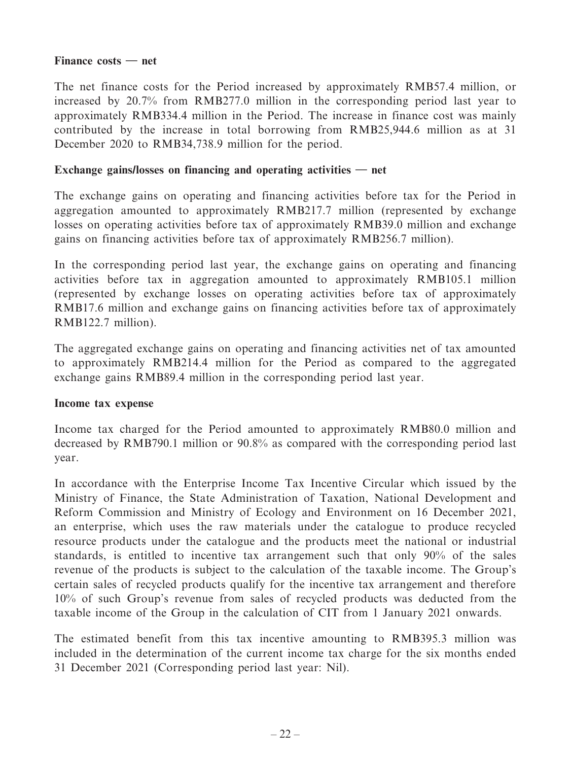### **Finance costs — net**

The net finance costs for the Period increased by approximately RMB57.4 million, or increased by 20.7% from RMB277.0 million in the corresponding period last year to approximately RMB334.4 million in the Period. The increase in finance cost was mainly contributed by the increase in total borrowing from RMB25,944.6 million as at 31 December 2020 to RMB34,738.9 million for the period.

### **Exchange gains/losses on financing and operating activities — net**

The exchange gains on operating and financing activities before tax for the Period in aggregation amounted to approximately RMB217.7 million (represented by exchange losses on operating activities before tax of approximately RMB39.0 million and exchange gains on financing activities before tax of approximately RMB256.7 million).

In the corresponding period last year, the exchange gains on operating and financing activities before tax in aggregation amounted to approximately RMB105.1 million (represented by exchange losses on operating activities before tax of approximately RMB17.6 million and exchange gains on financing activities before tax of approximately RMB122.7 million).

The aggregated exchange gains on operating and financing activities net of tax amounted to approximately RMB214.4 million for the Period as compared to the aggregated exchange gains RMB89.4 million in the corresponding period last year.

### **Income tax expense**

Income tax charged for the Period amounted to approximately RMB80.0 million and decreased by RMB790.1 million or 90.8% as compared with the corresponding period last year.

In accordance with the Enterprise Income Tax Incentive Circular which issued by the Ministry of Finance, the State Administration of Taxation, National Development and Reform Commission and Ministry of Ecology and Environment on 16 December 2021, an enterprise, which uses the raw materials under the catalogue to produce recycled resource products under the catalogue and the products meet the national or industrial standards, is entitled to incentive tax arrangement such that only 90% of the sales revenue of the products is subject to the calculation of the taxable income. The Group's certain sales of recycled products qualify for the incentive tax arrangement and therefore 10% of such Group's revenue from sales of recycled products was deducted from the taxable income of the Group in the calculation of CIT from 1 January 2021 onwards.

The estimated benefit from this tax incentive amounting to RMB395.3 million was included in the determination of the current income tax charge for the six months ended 31 December 2021 (Corresponding period last year: Nil).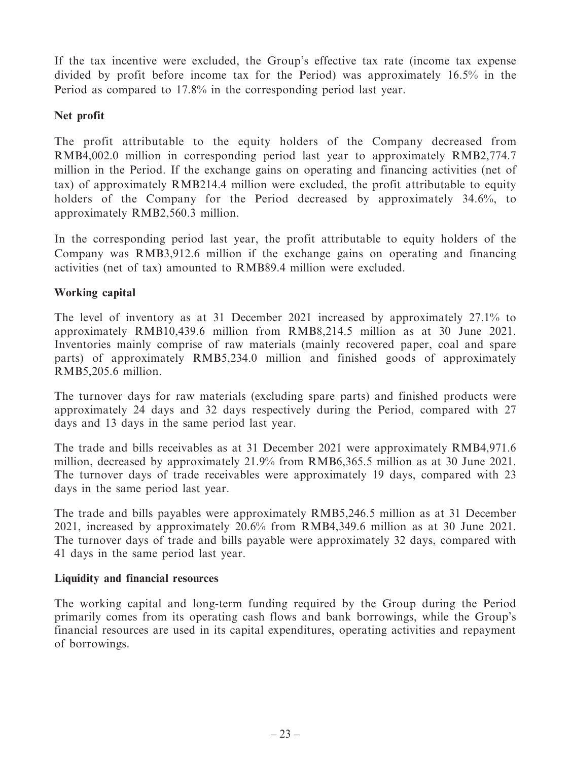If the tax incentive were excluded, the Group's effective tax rate (income tax expense divided by profit before income tax for the Period) was approximately 16.5% in the Period as compared to 17.8% in the corresponding period last year.

# **Net profit**

The profit attributable to the equity holders of the Company decreased from RMB4,002.0 million in corresponding period last year to approximately RMB2,774.7 million in the Period. If the exchange gains on operating and financing activities (net of tax) of approximately RMB214.4 million were excluded, the profit attributable to equity holders of the Company for the Period decreased by approximately 34.6%, to approximately RMB2,560.3 million.

In the corresponding period last year, the profit attributable to equity holders of the Company was RMB3,912.6 million if the exchange gains on operating and financing activities (net of tax) amounted to RMB89.4 million were excluded.

# **Working capital**

The level of inventory as at 31 December 2021 increased by approximately 27.1% to approximately RMB10,439.6 million from RMB8,214.5 million as at 30 June 2021. Inventories mainly comprise of raw materials (mainly recovered paper, coal and spare parts) of approximately RMB5,234.0 million and finished goods of approximately RMB5,205.6 million.

The turnover days for raw materials (excluding spare parts) and finished products were approximately 24 days and 32 days respectively during the Period, compared with 27 days and 13 days in the same period last year.

The trade and bills receivables as at 31 December 2021 were approximately RMB4,971.6 million, decreased by approximately 21.9% from RMB6,365.5 million as at 30 June 2021. The turnover days of trade receivables were approximately 19 days, compared with 23 days in the same period last year.

The trade and bills payables were approximately RMB5,246.5 million as at 31 December 2021, increased by approximately 20.6% from RMB4,349.6 million as at 30 June 2021. The turnover days of trade and bills payable were approximately 32 days, compared with 41 days in the same period last year.

# **Liquidity and financial resources**

The working capital and long-term funding required by the Group during the Period primarily comes from its operating cash flows and bank borrowings, while the Group's financial resources are used in its capital expenditures, operating activities and repayment of borrowings.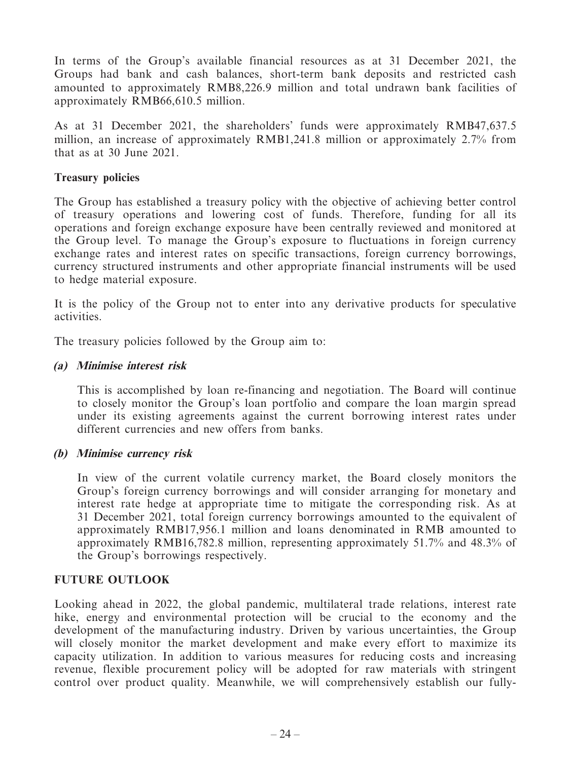In terms of the Group's available financial resources as at 31 December 2021, the Groups had bank and cash balances, short-term bank deposits and restricted cash amounted to approximately RMB8,226.9 million and total undrawn bank facilities of approximately RMB66,610.5 million.

As at 31 December 2021, the shareholders' funds were approximately RMB47,637.5 million, an increase of approximately RMB1,241.8 million or approximately 2.7% from that as at 30 June 2021.

### **Treasury policies**

The Group has established a treasury policy with the objective of achieving better control of treasury operations and lowering cost of funds. Therefore, funding for all its operations and foreign exchange exposure have been centrally reviewed and monitored at the Group level. To manage the Group's exposure to fluctuations in foreign currency exchange rates and interest rates on specific transactions, foreign currency borrowings, currency structured instruments and other appropriate financial instruments will be used to hedge material exposure.

It is the policy of the Group not to enter into any derivative products for speculative activities.

The treasury policies followed by the Group aim to:

### **(a) Minimise interest risk**

This is accomplished by loan re-financing and negotiation. The Board will continue to closely monitor the Group's loan portfolio and compare the loan margin spread under its existing agreements against the current borrowing interest rates under different currencies and new offers from banks.

### **(b) Minimise currency risk**

In view of the current volatile currency market, the Board closely monitors the Group's foreign currency borrowings and will consider arranging for monetary and interest rate hedge at appropriate time to mitigate the corresponding risk. As at 31 December 2021, total foreign currency borrowings amounted to the equivalent of approximately RMB17,956.1 million and loans denominated in RMB amounted to approximately RMB16,782.8 million, representing approximately 51.7% and 48.3% of the Group's borrowings respectively.

# **FUTURE OUTLOOK**

Looking ahead in 2022, the global pandemic, multilateral trade relations, interest rate hike, energy and environmental protection will be crucial to the economy and the development of the manufacturing industry. Driven by various uncertainties, the Group will closely monitor the market development and make every effort to maximize its capacity utilization. In addition to various measures for reducing costs and increasing revenue, flexible procurement policy will be adopted for raw materials with stringent control over product quality. Meanwhile, we will comprehensively establish our fully-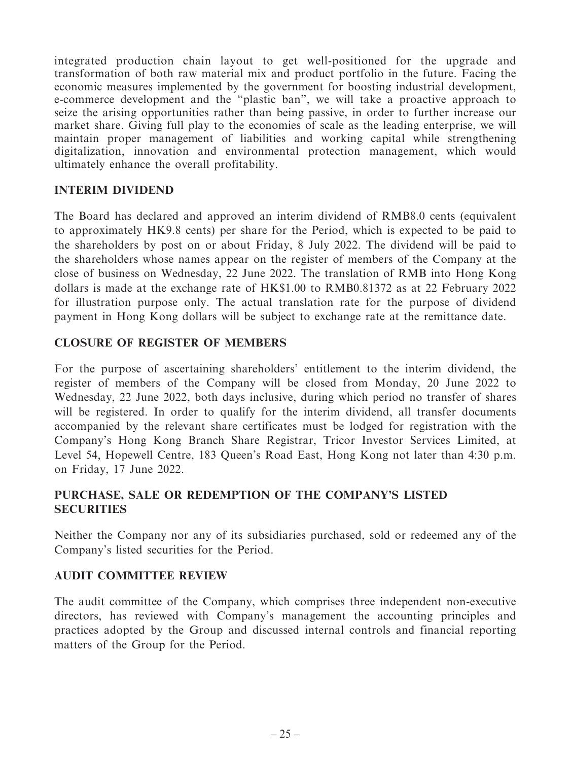integrated production chain layout to get well-positioned for the upgrade and transformation of both raw material mix and product portfolio in the future. Facing the economic measures implemented by the government for boosting industrial development, e-commerce development and the "plastic ban", we will take a proactive approach to seize the arising opportunities rather than being passive, in order to further increase our market share. Giving full play to the economies of scale as the leading enterprise, we will maintain proper management of liabilities and working capital while strengthening digitalization, innovation and environmental protection management, which would ultimately enhance the overall profitability.

# **INTERIM DIVIDEND**

The Board has declared and approved an interim dividend of RMB8.0 cents (equivalent to approximately HK9.8 cents) per share for the Period, which is expected to be paid to the shareholders by post on or about Friday, 8 July 2022. The dividend will be paid to the shareholders whose names appear on the register of members of the Company at the close of business on Wednesday, 22 June 2022. The translation of RMB into Hong Kong dollars is made at the exchange rate of HK\$1.00 to RMB0.81372 as at 22 February 2022 for illustration purpose only. The actual translation rate for the purpose of dividend payment in Hong Kong dollars will be subject to exchange rate at the remittance date.

# **CLOSURE OF REGISTER OF MEMBERS**

For the purpose of ascertaining shareholders' entitlement to the interim dividend, the register of members of the Company will be closed from Monday, 20 June 2022 to Wednesday, 22 June 2022, both days inclusive, during which period no transfer of shares will be registered. In order to qualify for the interim dividend, all transfer documents accompanied by the relevant share certificates must be lodged for registration with the Company's Hong Kong Branch Share Registrar, Tricor Investor Services Limited, at Level 54, Hopewell Centre, 183 Queen's Road East, Hong Kong not later than 4:30 p.m. on Friday, 17 June 2022.

# **PURCHASE, SALE OR REDEMPTION OF THE COMPANY'S LISTED SECURITIES**

Neither the Company nor any of its subsidiaries purchased, sold or redeemed any of the Company's listed securities for the Period.

# **AUDIT COMMITTEE REVIEW**

The audit committee of the Company, which comprises three independent non-executive directors, has reviewed with Company's management the accounting principles and practices adopted by the Group and discussed internal controls and financial reporting matters of the Group for the Period.